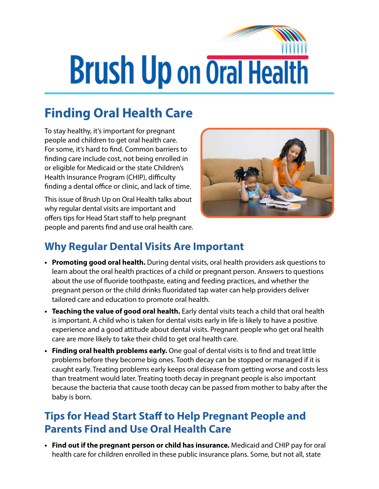# **Brush Up on Oral Health**

## **Finding Oral Health Care**

To stay healthy, it's important for pregnant people and children to get oral health care. For some, it's hard to find. Common barriers to finding care include cost, not being enrolled in or eligible for Medicaid or the state Children's Health Insurance Program (CHIP), difficulty finding a dental office or clinic, and lack of time.

This issue of Brush Up on Oral Health talks about why regular dental visits are important and offers tips for Head Start staff to help pregnant people and parents find and use oral health care.



### **Why Regular Dental Visits Are Important**

- **• Promoting good oral health.** During dental visits, oral health providers ask questions to learn about the oral health practices of a child or pregnant person. Answers to questions about the use of fluoride toothpaste, eating and feeding practices, and whether the pregnant person or the child drinks fluoridated tap water can help providers deliver tailored care and education to promote oral health.
- **• Teaching the value of good oral health.** Early dental visits teach a child that oral health is important. A child who is taken for dental visits early in life is likely to have a positive experience and a good attitude about dental visits. Pregnant people who get oral health care are more likely to take their child to get oral health care.
- **• Finding oral health problems early.** One goal of dental visits is to find and treat little problems before they become big ones. Tooth decay can be stopped or managed if it is caught early. Treating problems early keeps oral disease from getting worse and costs less than treatment would later. Treating tooth decay in pregnant people is also important because the bacteria that cause tooth decay can be passed from mother to baby after the baby is born.

#### **Tips for Head Start Staff to Help Pregnant People and Parents Find and Use Oral Health Care**

**• Find out if the pregnant person or child has insurance.** Medicaid and CHIP pay for oral health care for children enrolled in these public insurance plans. Some, but not all, state